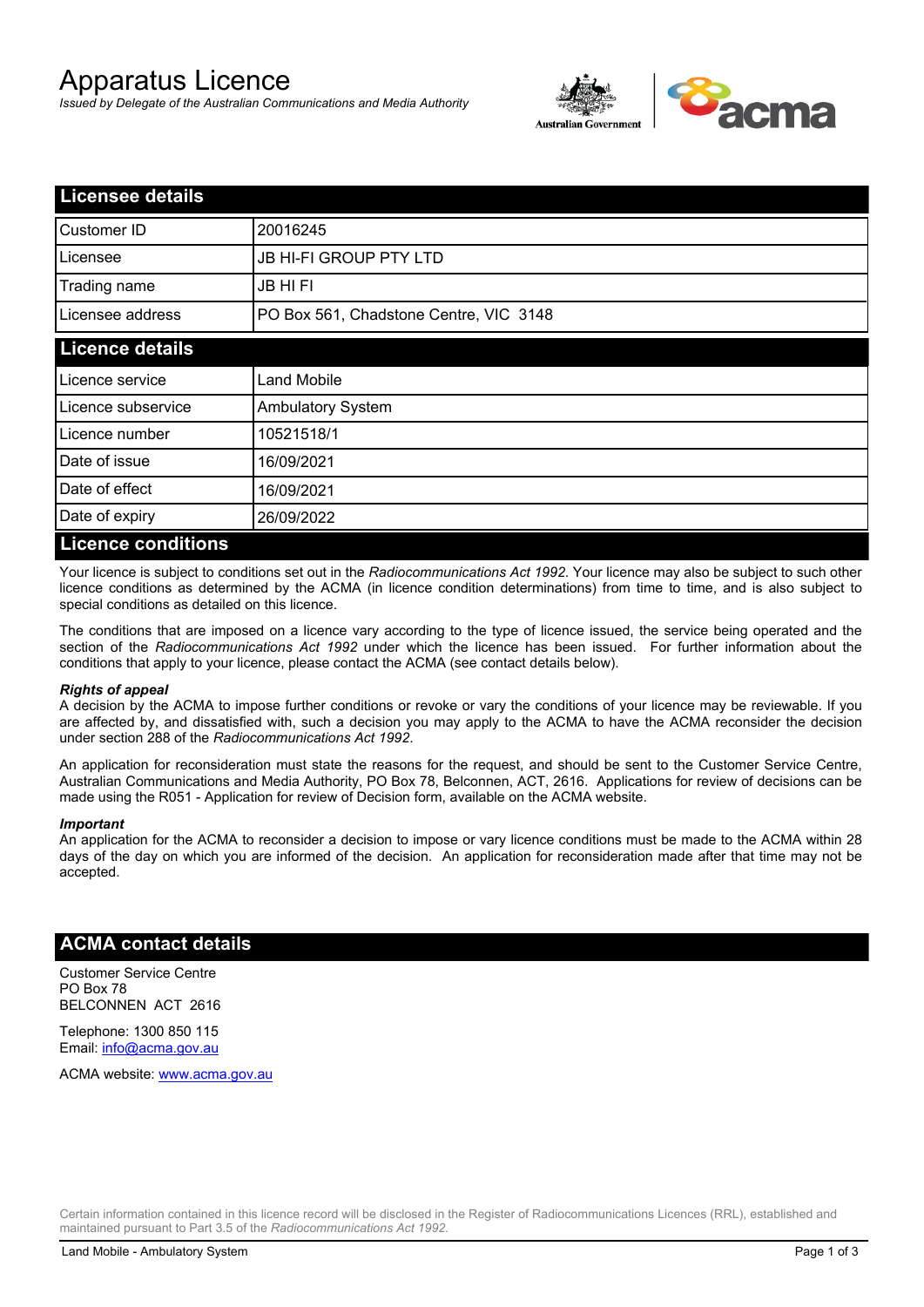# Apparatus Licence

*Issued by Delegate of the Australian Communications and Media Authority*



| <b>Licensee details</b>   |                                        |  |
|---------------------------|----------------------------------------|--|
| Customer ID               | 20016245                               |  |
| Licensee                  | <b>JB HI-FI GROUP PTY LTD</b>          |  |
| Trading name              | <b>JB HIFI</b>                         |  |
| Licensee address          | PO Box 561, Chadstone Centre, VIC 3148 |  |
| <b>Licence details</b>    |                                        |  |
| Licence service           | <b>Land Mobile</b>                     |  |
| Licence subservice        | <b>Ambulatory System</b>               |  |
| Licence number            | 10521518/1                             |  |
| Date of issue             | 16/09/2021                             |  |
| Date of effect            | 16/09/2021                             |  |
| Date of expiry            | 26/09/2022                             |  |
| <b>Licence conditions</b> |                                        |  |

Your licence is subject to conditions set out in the *Radiocommunications Act 1992*. Your licence may also be subject to such other licence conditions as determined by the ACMA (in licence condition determinations) from time to time, and is also subject to special conditions as detailed on this licence.

The conditions that are imposed on a licence vary according to the type of licence issued, the service being operated and the section of the *Radiocommunications Act 1992* under which the licence has been issued. For further information about the conditions that apply to your licence, please contact the ACMA (see contact details below).

#### *Rights of appeal*

A decision by the ACMA to impose further conditions or revoke or vary the conditions of your licence may be reviewable. If you are affected by, and dissatisfied with, such a decision you may apply to the ACMA to have the ACMA reconsider the decision under section 288 of the *Radiocommunications Act 1992*.

An application for reconsideration must state the reasons for the request, and should be sent to the Customer Service Centre, Australian Communications and Media Authority, PO Box 78, Belconnen, ACT, 2616. Applications for review of decisions can be made using the R051 - Application for review of Decision form, available on the ACMA website.

#### *Important*

An application for the ACMA to reconsider a decision to impose or vary licence conditions must be made to the ACMA within 28 days of the day on which you are informed of the decision. An application for reconsideration made after that time may not be accepted.

### **ACMA contact details**

Customer Service Centre PO Box 78 BELCONNEN ACT 2616

Telephone: 1300 850 115 Email: info@acma.gov.au

ACMA website: www.acma.gov.au

Certain information contained in this licence record will be disclosed in the Register of Radiocommunications Licences (RRL), established and maintained pursuant to Part 3.5 of the *Radiocommunications Act 1992.*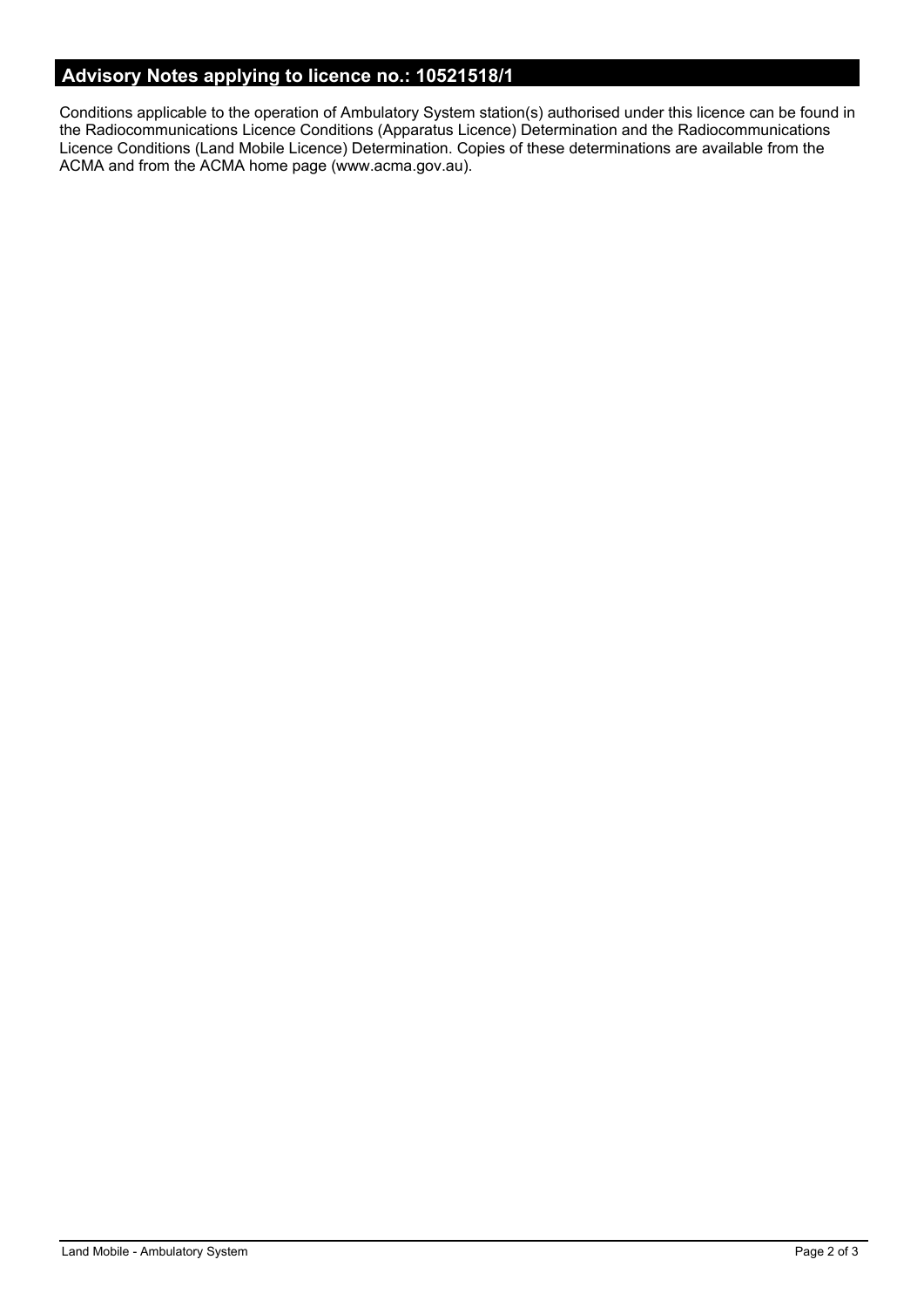# **Advisory Notes applying to licence no.: 10521518/1**

Conditions applicable to the operation of Ambulatory System station(s) authorised under this licence can be found in the Radiocommunications Licence Conditions (Apparatus Licence) Determination and the Radiocommunications Licence Conditions (Land Mobile Licence) Determination. Copies of these determinations are available from the ACMA and from the ACMA home page (www.acma.gov.au).